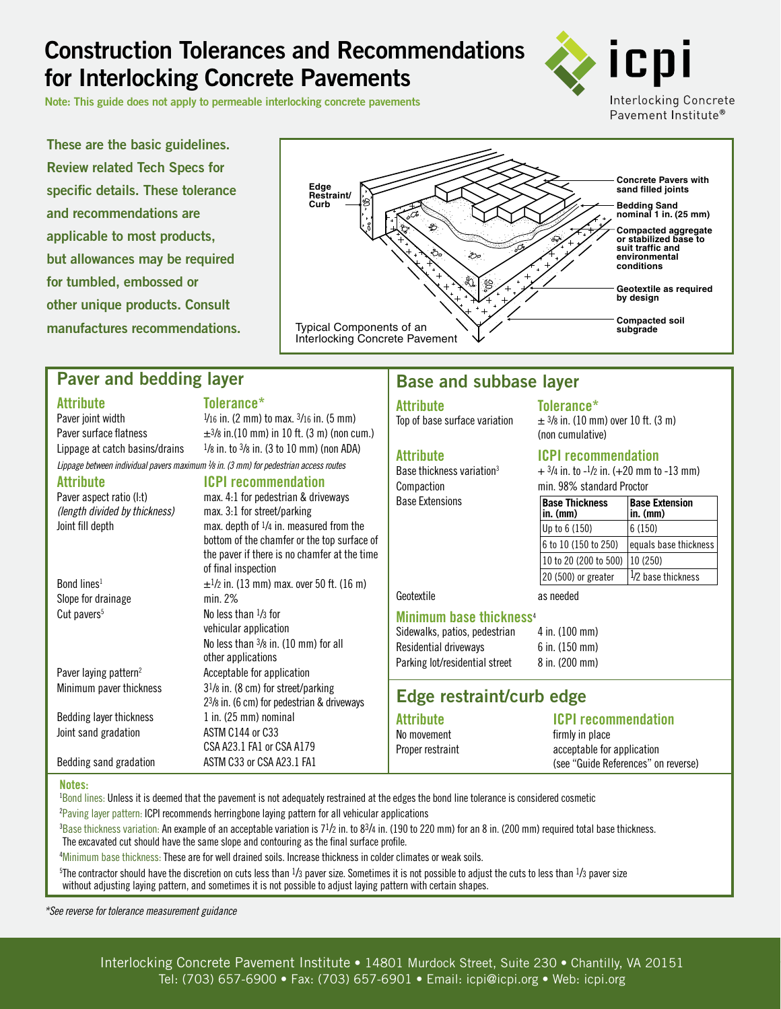# **Construction Tolerances and Recommendations for Interlocking Concrete Pavements**

**Note: This guide does not apply to permeable interlocking concrete pavements**



**These are the basic guidelines. Review related Tech Specs for specific details. These tolerance and recommendations are applicable to most products, but allowances may be required for tumbled, embossed or other unique products. Consult manufactures recommendations.**



## **Paver and bedding layer**

### **Attribute Tolerance\***

| lolerance |  |  |  |
|-----------|--|--|--|
|           |  |  |  |

Paver joint width  $\frac{1}{16}$  in. (2 mm) to max.  $\frac{3}{16}$  in. (5 mm) Paver surface flatness  $\pm$ <sup>3</sup>/8 in.(10 mm) in 10 ft. (3 m) (non cum.) Lippage at catch basins/drains  $1/8$  in. to  $3/8$  in. (3 to 10 mm) (non ADA) *Lippage between individual pavers maximum 1 /8 in. (3 mm) for pedestrian access routes*

**Attribute**<br> **Paver aspect ratio (I:t)**<br> **ICPI recommendation**<br>
max. 4:1 for pedestrian & drive  $max. 4:1$  for pedestrian & driveways *(length divided by thickness)* max. 3:1 for street/parking Joint fill depth max. depth of 1/4 in. measured from the bottom of the chamfer or the top surface of the paver if there is no chamfer at the time of final inspection Bond lines<sup>1</sup>  $\pm$ <sup>1</sup>/2 in. (13 mm) max. over 50 ft. (16 m) Slope for drainage min. 2% Cut pavers<sup>5</sup> No less than  $\frac{1}{3}$  for vehicular application No less than 3/8 in. (10 mm) for all other applications Paver laying pattern<sup>2</sup> Acceptable for application Minimum paver thickness 31/8 in. (8 cm) for street/parking 23/8 in. (6 cm) for pedestrian & driveways Bedding layer thickness  $1$  in. (25 mm) nominal Joint sand gradation ASTM C144 or C33 CSA A23.1 FA1 or CSA A179 Bedding sand gradation ASTM C33 or CSA A23.1 FA1

## **Base and subbase layer**

**Attribute Tolerance\***

Base Extensions

 $\pm$  3/8 in. (10 mm) over 10 ft. (3 m) (non cumulative)

### **Attribute ICPI recommendation**

Base thickness variation<sup>3</sup>  $+ 3/4$  in. to  $-1/2$  in. (+20 mm to  $-13$  mm) Compaction min. 98% standard Proctor

| <b>Base Thickness</b><br>$in.$ ( $mm$ ) | <b>Base Extension</b><br>$in.$ ( $mn$ ) |
|-----------------------------------------|-----------------------------------------|
| Up to 6 (150)                           | 6(150)                                  |
| 6 to 10 (150 to 250)                    | equals base thickness                   |
| 10 to 20 (200 to 500)                   | 10 (250)                                |
| 20 (500) or greater                     | 1/2 base thickness                      |

## Geotextile as needed

**Minimum base thickness**<sup>4</sup> Sidewalks, patios, pedestrian 4 in. (100 mm)

|                                | .                          |
|--------------------------------|----------------------------|
| Residential driveways          | $6$ in. $(150 \text{ mm})$ |
| Parking lot/residential street | 8 in. (200 mm)             |

## **Edge restraint/curb edge**

**Attribute ICPI recommendation**

firmly in place Proper restraint acceptable for application (see "Guide References" on reverse)

### **Notes:**

1 Bond lines: Unless it is deemed that the pavement is not adequately restrained at the edges the bond line tolerance is considered cosmetic <sup>2</sup>Paving layer pattern: ICPI recommends herringbone laying pattern for all vehicular applications

 ${}^{3}$ Base thickness variation: An example of an acceptable variation is 7½ in. to 83/4 in. (190 to 220 mm) for an 8 in. (200 mm) required total base thickness. The excavated cut should have the same slope and contouring as the final surface profile.

4 Minimum base thickness: These are for well drained soils. Increase thickness in colder climates or weak soils.

 $^{5}$ The contractor should have the discretion on cuts less than  $^{1}/_{3}$  paver size. Sometimes it is not possible to adjust the cuts to less than  $^{1}/_{3}$  paver size without adjusting laying pattern, and sometimes it is not possible to adjust laying pattern with certain shapes.

*\*See reverse for tolerance measurement guidance*